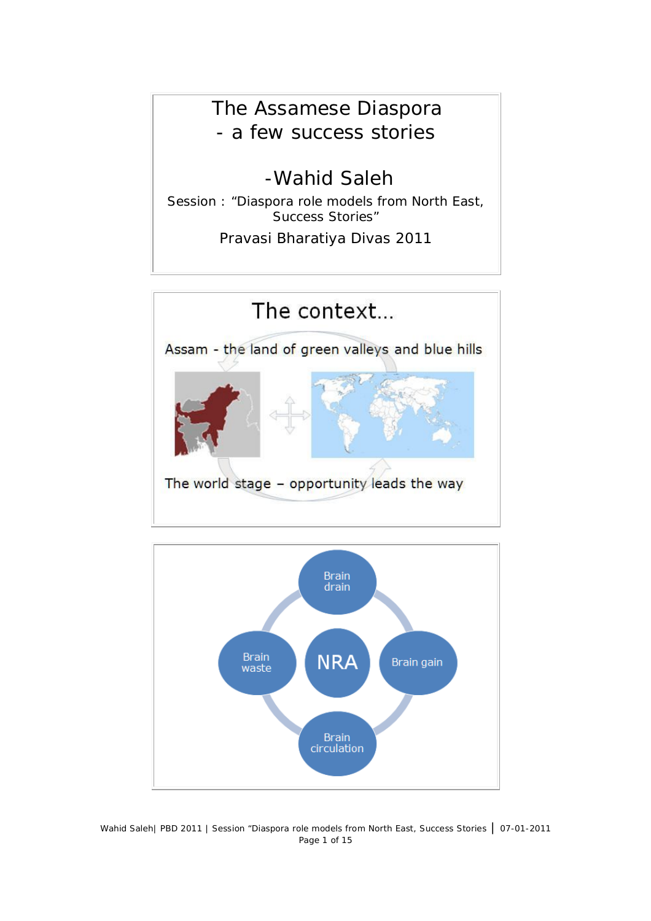## The Assamese Diaspora - a few success stories

# -Wahid Saleh

Session : "Diaspora role models from North East, Success Stories"

Pravasi Bharatiya Divas 2011





Wahid Saleh| PBD 2011 | Session "Diaspora role models from North East, Success Stories | 07-01-2011 Page 1 of 15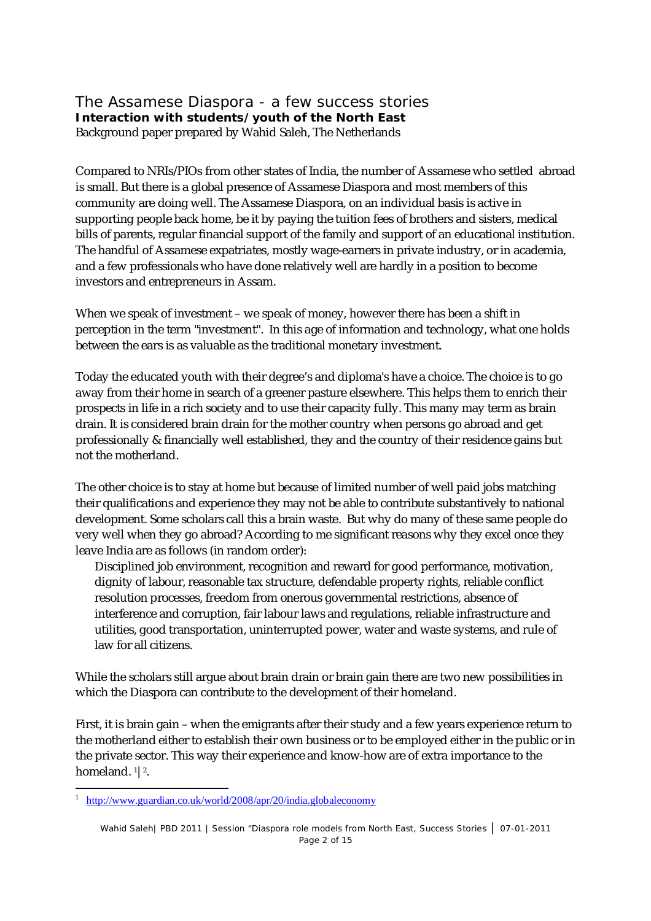#### The Assamese Diaspora - a few success stories **Interaction with students/youth of the North East** Background paper prepared by Wahid Saleh, The Netherlands

Compared to NRIs/PIOs from other states of India, the number of Assamese who settled abroad is small. But there is a global presence of Assamese Diaspora and most members of this community are doing well. The Assamese Diaspora, on an individual basis is active in supporting people back home, be it by paying the tuition fees of brothers and sisters, medical bills of parents, regular financial support of the family and support of an educational institution. The handful of Assamese expatriates, mostly wage-earners in private industry, or in academia, and a few professionals who have done relatively well are hardly in a position to become investors and entrepreneurs in Assam.

When we speak of investment – we speak of money, however there has been a shift in perception in the term "investment". In this age of information and technology, what one holds between the ears is as valuable as the traditional monetary investment.

Today the educated youth with their degree's and diploma's have a choice. The choice is to go away from their home in search of a greener pasture elsewhere. This helps them to enrich their prospects in life in a rich society and to use their capacity fully. This many may term as brain drain. It is considered brain drain for the mother country when persons go abroad and get professionally & financially well established, they and the country of their residence gains but not the motherland.

The other choice is to stay at home but because of limited number of well paid jobs matching their qualifications and experience they may not be able to contribute substantively to national development. Some scholars call this a brain waste. But why do many of these same people do very well when they go abroad? According to me significant reasons why they excel once they leave India are as follows (in random order):

Disciplined job environment, recognition and reward for good performance, motivation, dignity of labour, reasonable tax structure, defendable property rights, reliable conflict resolution processes, freedom from onerous governmental restrictions, absence of interference and corruption, fair labour laws and regulations, reliable infrastructure and utilities, good transportation, uninterrupted power, water and waste systems, and rule of law for all citizens.

While the scholars still argue about brain drain or brain gain there are two new possibilities in which the Diaspora can contribute to the development of their homeland.

First, it is brain gain – when the emigrants after their study and a few years experience return to the motherland either to establish their own business or to be employed either in the public or in the private sector. This way their experience and know-how are of extra importance to the homeland. <sup>1</sup>|<sup>2</sup>.

<sup>1</sup> http://www.guardian.co.uk/world/2008/apr/20/india.globaleconomy

Wahid Saleh| PBD 2011 | Session "Diaspora role models from North East, Success Stories | 07-01-2011 Page 2 of 15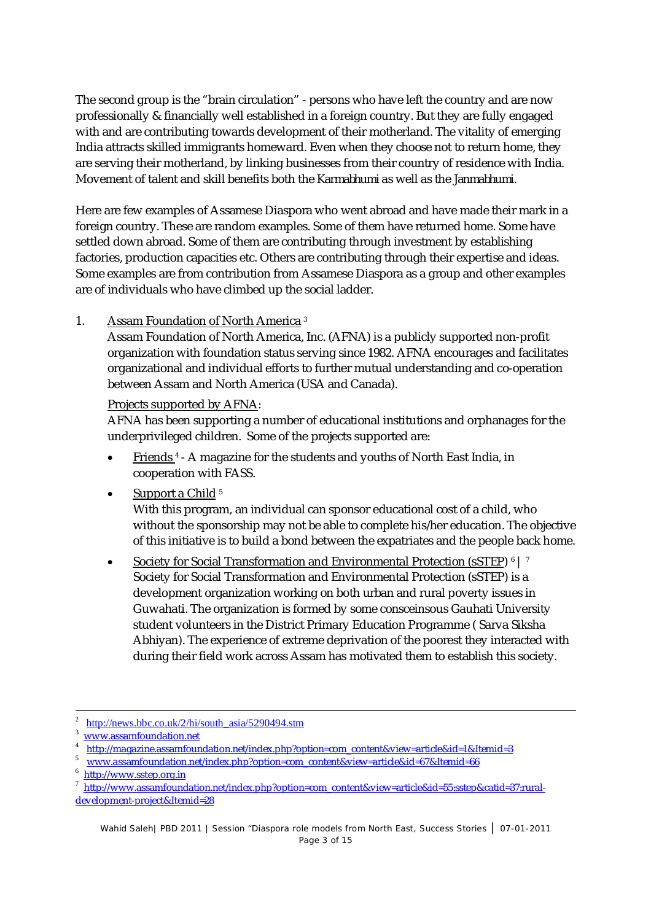The second group is the "brain circulation" - persons who have left the country and are now professionally & financially well established in a foreign country. But they are fully engaged with and are contributing towards development of their motherland. The vitality of emerging India attracts skilled immigrants homeward. Even when they choose not to return home, they are serving their motherland, by linking businesses from their country of residence with India. Movement of talent and skill benefits both the *Karmabhumi* as well as the *Janmabhumi*.

Here are few examples of Assamese Diaspora who went abroad and have made their mark in a foreign country. These are random examples. Some of them have returned home. Some have settled down abroad. Some of them are contributing through investment by establishing factories, production capacities etc. Others are contributing through their expertise and ideas. Some examples are from contribution from Assamese Diaspora as a group and other examples are of individuals who have climbed up the social ladder.

## 1. Assam Foundation of North America <sup>3</sup>

Assam Foundation of North America, Inc. (AFNA) is a publicly supported non-profit organization with foundation status serving since 1982. AFNA encourages and facilitates organizational and individual efforts to further mutual understanding and co-operation between Assam and North America (USA and Canada).

#### Projects supported by AFNA:

AFNA has been supporting a number of educational institutions and orphanages for the underprivileged children. Some of the projects supported are:

• Friends<sup>4</sup> - A magazine for the students and youths of North East India, in cooperation with FASS.

## Support a Child <sup>5</sup>

With this program, an individual can sponsor educational cost of a child, who without the sponsorship may not be able to complete his/her education. The objective of this initiative is to build a bond between the expatriates and the people back home.

• Society for Social Transformation and Environmental Protection (sSTEP)  $\circ$  | 7 Society for Social Transformation and Environmental Protection (sSTEP) is a development organization working on both urban and rural poverty issues in Guwahati. The organization is formed by some consceinsous Gauhati University student volunteers in the District Primary Education Programme ( Sarva Siksha Abhiyan). The experience of extreme deprivation of the poorest they interacted with during their field work across Assam has motivated them to establish this society.

<sup>-</sup>2 http://news.bbc.co.uk/2/hi/south\_asia/5290494.stm

<sup>3</sup> www.assamfoundation.net

<sup>4</sup> http://magazine.assamfoundation.net/index.php?option=com\_content&view=article&id=1&Itemid=3

<sup>&</sup>lt;sup>5</sup> www.assamfoundation.net/index.php?option=com\_content&view=article&id=67&Itemid=66

<sup>&</sup>lt;sup>6</sup> http://www.sstep.org.in

<sup>7</sup> http://www.assamfoundation.net/index.php?option=com\_content&view=article&id=55:sstep&catid=37:ruraldevelopment-project&Itemid=28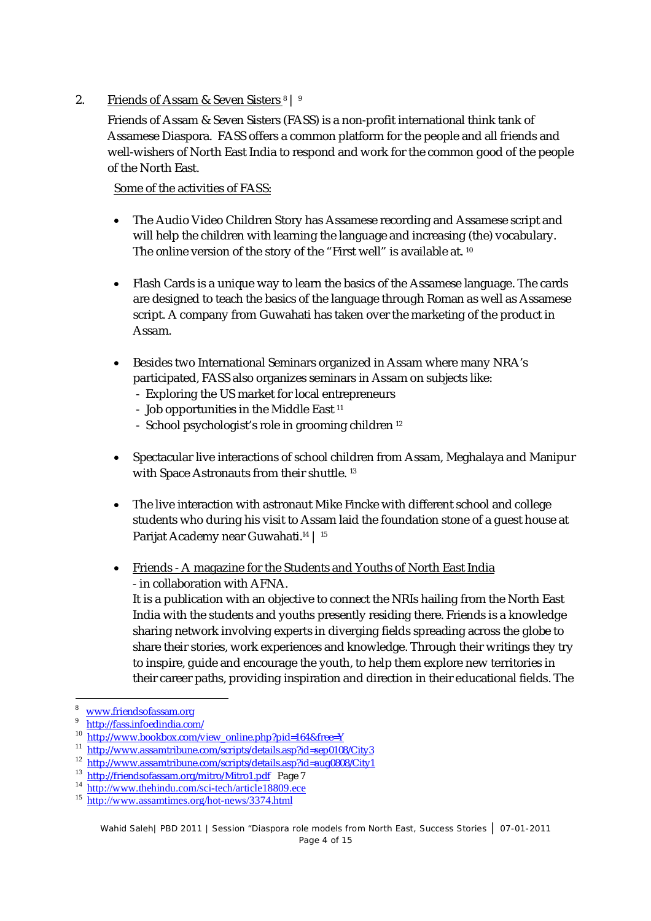## 2. Friends of Assam & Seven Sisters 8 | 9

Friends of Assam & Seven Sisters (FASS) is a non-profit international think tank of Assamese Diaspora. FASS offers a common platform for the people and all friends and well-wishers of North East India to respond and work for the common good of the people of the North East.

#### Some of the activities of FASS:

- The Audio Video Children Story has Assamese recording and Assamese script and will help the children with learning the language and increasing (the) vocabulary. The online version of the story of the "First well" is available at. 10
- Flash Cards is a unique way to learn the basics of the Assamese language. The cards are designed to teach the basics of the language through Roman as well as Assamese script. A company from Guwahati has taken over the marketing of the product in Assam.
- Besides two International Seminars organized in Assam where many NRA's participated, FASS also organizes seminars in Assam on subjects like:
	- Exploring the US market for local entrepreneurs
	- Job opportunities in the Middle East  $11$
	- School psychologist's role in grooming children <sup>12</sup>
- Spectacular live interactions of school children from Assam, Meghalaya and Manipur with Space Astronauts from their shuttle.<sup>13</sup>
- The live interaction with astronaut Mike Fincke with different school and college students who during his visit to Assam laid the foundation stone of a guest house at Parijat Academy near Guwahati.<sup>14</sup> | <sup>15</sup>
- Friends A magazine for the Students and Youths of North East India - in collaboration with AFNA.

It is a publication with an objective to connect the NRIs hailing from the North East India with the students and youths presently residing there. Friends is a knowledge sharing network involving experts in diverging fields spreading across the globe to share their stories, work experiences and knowledge. Through their writings they try to inspire, guide and encourage the youth, to help them explore new territories in their career paths, providing inspiration and direction in their educational fields. The

www.friendsofassam.org

<sup>9</sup> http://fass.infoedindia.com/

<sup>10</sup> http://www.bookbox.com/view\_online.php?pid=164&free=Y

<sup>11</sup> http://www.assamtribune.com/scripts/details.asp?id=sep0108/City3

<sup>12</sup> http://www.assamtribune.com/scripts/details.asp?id=aug0808/City1

<sup>13</sup> http://friendsofassam.org/mitro/Mitro1.pdf Page 7

<sup>&</sup>lt;sup>14</sup> http://www.thehindu.com/sci-tech/article18809.ece

<sup>&</sup>lt;sup>15</sup> http://www.assamtimes.org/hot-news/3374.html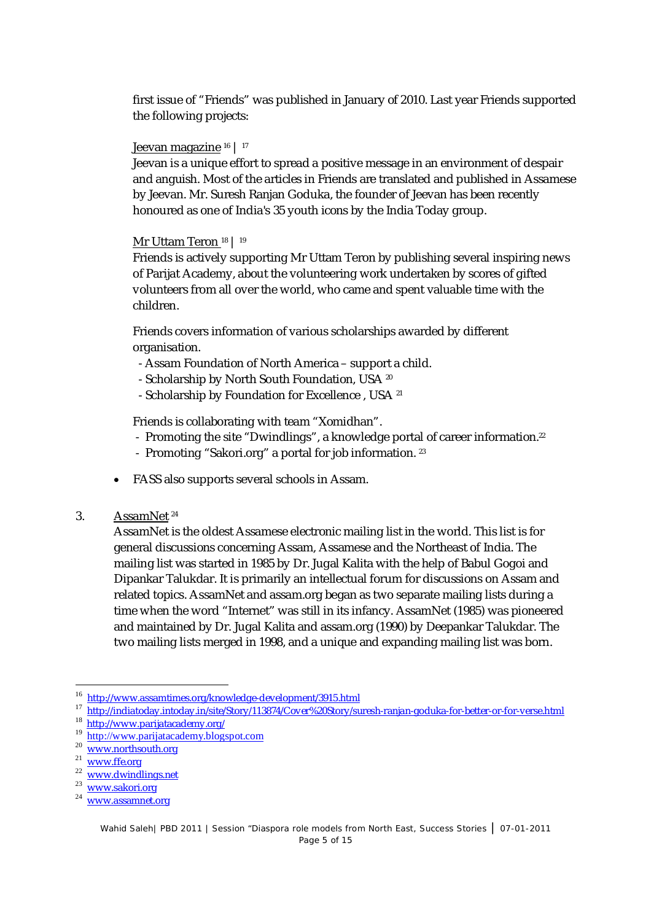first issue of "Friends" was published in January of 2010. Last year Friends supported the following projects:

#### Jeevan magazine 16 | 17

Jeevan is a unique effort to spread a positive message in an environment of despair and anguish. Most of the articles in Friends are translated and published in Assamese by Jeevan. Mr. Suresh Ranjan Goduka, the founder of Jeevan has been recently honoured as one of India's 35 youth icons by the India Today group.

## Mr Uttam Teron <sup>18</sup> | <sup>19</sup>

Friends is actively supporting Mr Uttam Teron by publishing several inspiring news of Parijat Academy, about the volunteering work undertaken by scores of gifted volunteers from all over the world, who came and spent valuable time with the children.

Friends covers information of various scholarships awarded by different organisation.

- Assam Foundation of North America support a child.
- Scholarship by North South Foundation, USA 20
- Scholarship by Foundation for Excellence, USA 21

Friends is collaborating with team "Xomidhan".

- Promoting the site "Dwindlings", a knowledge portal of career information.<sup>22</sup>
- Promoting "Sakori.org" a portal for job information. <sup>23</sup>
- FASS also supports several schools in Assam.
- 3. AssamNet <sup>24</sup>

AssamNet is the oldest Assamese electronic mailing list in the world. This list is for general discussions concerning Assam, Assamese and the Northeast of India. The mailing list was started in 1985 by Dr. Jugal Kalita with the help of Babul Gogoi and Dipankar Talukdar. It is primarily an intellectual forum for discussions on Assam and related topics. AssamNet and assam.org began as two separate mailing lists during a time when the word "Internet" was still in its infancy. AssamNet (1985) was pioneered and maintained by Dr. Jugal Kalita and assam.org (1990) by Deepankar Talukdar. The two mailing lists merged in 1998, and a unique and expanding mailing list was born.

<sup>&</sup>lt;sup>16</sup> http://www.assamtimes.org/knowledge-development/3915.html

<sup>17</sup> http://indiatoday.intoday.in/site/Story/113874/Cover%20Story/suresh-ranjan-goduka-for-better-or-for-verse.html

<sup>&</sup>lt;sup>18</sup> http://www.parijatacademy.org/

<sup>&</sup>lt;sup>19</sup> http://www.parijatacademy.blogspot.com

<sup>&</sup>lt;sup>20</sup> www.northsouth.org

<sup>&</sup>lt;sup>21</sup> www.ffe.org

<sup>&</sup>lt;sup>22</sup> www.dwindlings.net

<sup>23</sup> www.sakori.org

<sup>&</sup>lt;sup>24</sup> www.assamnet.org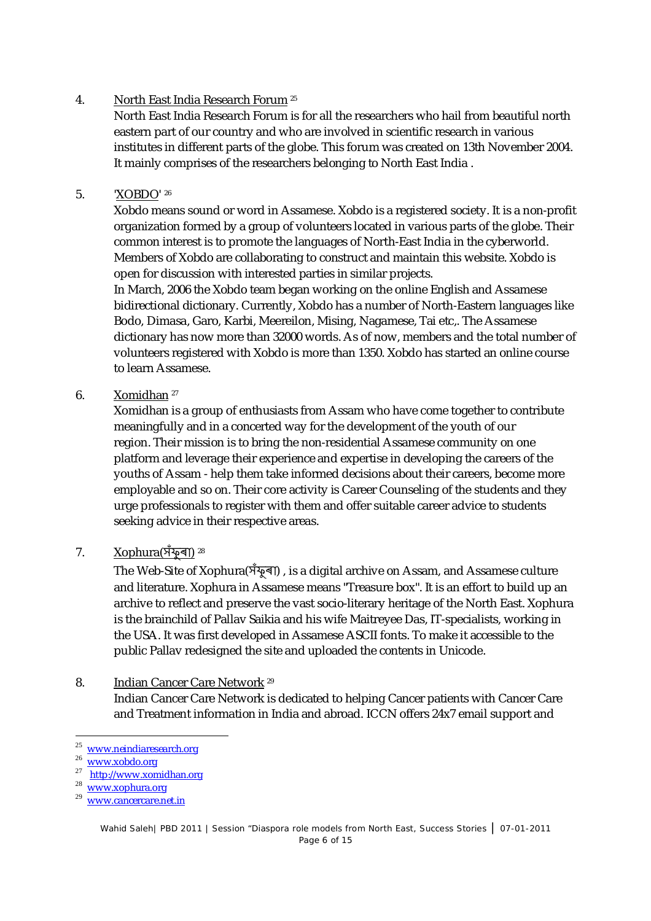## 4. North East India Research Forum <sup>25</sup>

North East India Research Forum is for all the researchers who hail from beautiful north eastern part of our country and who are involved in scientific research in various institutes in different parts of the globe. This forum was created on 13th November 2004. It mainly comprises of the researchers belonging to North East India .

## 5. 'XOBDO' <sup>26</sup>

Xobdo means sound or word in Assamese. Xobdo is a registered society. It is a non-profit organization formed by a group of volunteers located in various parts of the globe. Their common interest is to promote the languages of North-East India in the cyberworld. Members of Xobdo are collaborating to construct and maintain this website. Xobdo is open for discussion with interested parties in similar projects.

In March, 2006 the Xobdo team began working on the online English and Assamese bidirectional dictionary. Currently, Xobdo has a number of North-Eastern languages like Bodo, Dimasa, Garo, Karbi, Meereilon, Mising, Nagamese, Tai etc,. The Assamese dictionary has now more than 32000 words. As of now, members and the total number of volunteers registered with Xobdo is more than 1350. Xobdo has started an online course to learn Assamese.

## 6. Xomidhan <sup>27</sup>

Xomidhan is a group of enthusiasts from Assam who have come together to contribute meaningfully and in a concerted way for the development of the youth of our region. Their mission is to bring the non-residential Assamese community on one platform and leverage their experience and expertise in developing the careers of the youths of Assam - help them take informed decisions about their careers, become more employable and so on. Their core activity is Career Counseling of the students and they urge professionals to register with them and offer suitable career advice to students seeking advice in their respective areas.

## 7. Xophura(সঁফু ৰা) 28

The Web-Site of Xophura(সঁফুৰা), is a digital archive on Assam, and Assamese culture and literature. Xophura in Assamese means "Treasure box". It is an effort to build up an archive to reflect and preserve the vast socio-literary heritage of the North East. Xophura is the brainchild of Pallav Saikia and his wife Maitreyee Das, IT-specialists, working in the USA. It was first developed in Assamese ASCII fonts. To make it accessible to the public Pallav redesigned the site and uploaded the contents in Unicode.

## 8. Indian Cancer Care Network <sup>29</sup>

Indian Cancer Care Network is dedicated to helping Cancer patients with Cancer Care and Treatment information in India and abroad. ICCN offers 24x7 email support and

-

27 http://www.xomidhan.org

<sup>25</sup> www.neindiaresearch.org

<sup>26</sup> www.xobdo.org

www.xophura.org

www.cancercare.net.in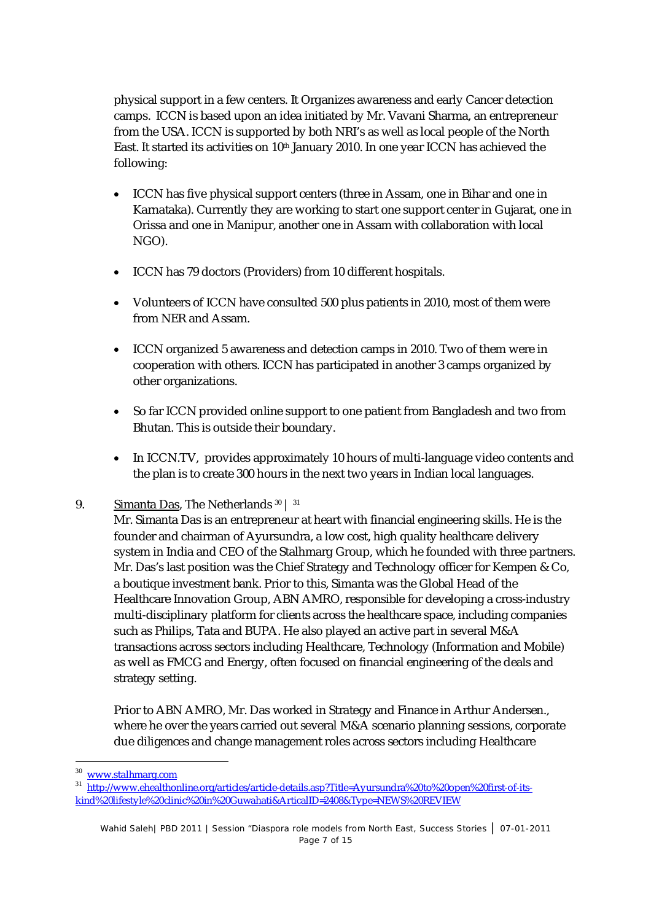physical support in a few centers. It Organizes awareness and early Cancer detection camps. ICCN is based upon an idea initiated by Mr. Vavani Sharma, an entrepreneur from the USA. ICCN is supported by both NRI's as well as local people of the North East. It started its activities on 10<sup>th</sup> January 2010. In one year ICCN has achieved the following:

- ICCN has five physical support centers (three in Assam, one in Bihar and one in Karnataka). Currently they are working to start one support center in Gujarat, one in Orissa and one in Manipur, another one in Assam with collaboration with local NGO).
- ICCN has 79 doctors (Providers) from 10 different hospitals.
- Volunteers of ICCN have consulted 500 plus patients in 2010, most of them were from NER and Assam.
- ICCN organized 5 awareness and detection camps in 2010. Two of them were in cooperation with others. ICCN has participated in another 3 camps organized by other organizations.
- So far ICCN provided online support to one patient from Bangladesh and two from Bhutan. This is outside their boundary.
- In ICCN.TV, provides approximately 10 hours of multi-language video contents and the plan is to create 300 hours in the next two years in Indian local languages.
- 9. Simanta Das, The Netherlands 30 | 31

Mr. Simanta Das is an entrepreneur at heart with financial engineering skills. He is the founder and chairman of Ayursundra, a low cost, high quality healthcare delivery system in India and CEO of the Stalhmarg Group, which he founded with three partners. Mr. Das's last position was the Chief Strategy and Technology officer for Kempen & Co, a boutique investment bank. Prior to this, Simanta was the Global Head of the Healthcare Innovation Group, ABN AMRO, responsible for developing a cross-industry multi-disciplinary platform for clients across the healthcare space, including companies such as Philips, Tata and BUPA. He also played an active part in several M&A transactions across sectors including Healthcare, Technology (Information and Mobile) as well as FMCG and Energy, often focused on financial engineering of the deals and strategy setting.

Prior to ABN AMRO, Mr. Das worked in Strategy and Finance in Arthur Andersen., where he over the years carried out several M&A scenario planning sessions, corporate due diligences and change management roles across sectors including Healthcare

 $30$ <sup>30</sup> www.stalhmarg.com

<sup>31</sup> http://www.ehealthonline.org/articles/article-details.asp?Title=Ayursundra%20to%20open%20first-of-itskind%20lifestyle%20clinic%20in%20Guwahati&ArticalID=2408&Type=NEWS%20REVIEW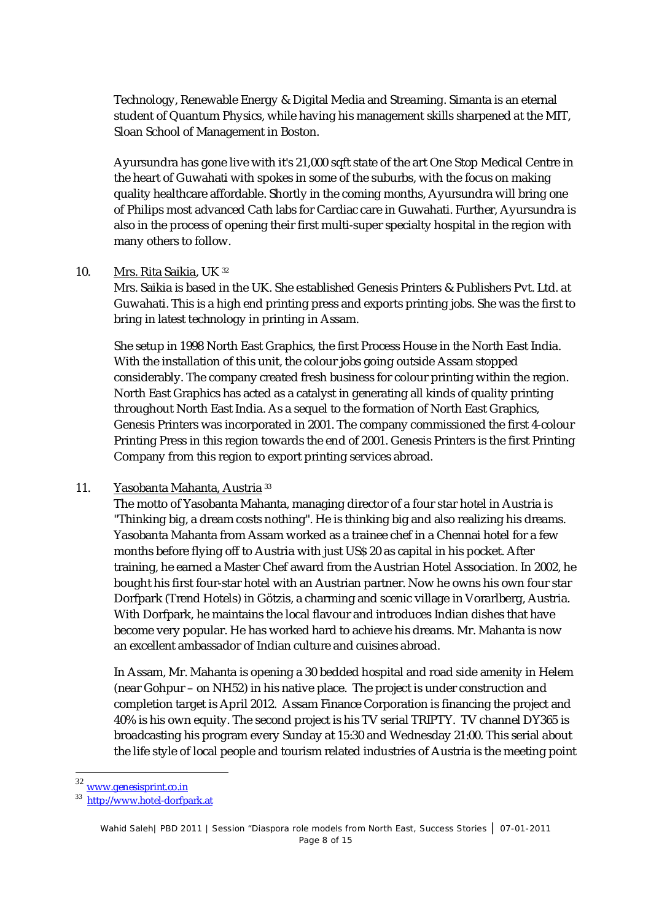Technology, Renewable Energy & Digital Media and Streaming. Simanta is an eternal student of Quantum Physics, while having his management skills sharpened at the MIT, Sloan School of Management in Boston.

Ayursundra has gone live with it's 21,000 sqft state of the art One Stop Medical Centre in the heart of Guwahati with spokes in some of the suburbs, with the focus on making quality healthcare affordable. Shortly in the coming months, Ayursundra will bring one of Philips most advanced Cath labs for Cardiac care in Guwahati. Further, Ayursundra is also in the process of opening their first multi-super specialty hospital in the region with many others to follow.

#### 10. Mrs. Rita Saikia, UK 32

Mrs. Saikia is based in the UK. She established Genesis Printers & Publishers Pvt. Ltd. at Guwahati. This is a high end printing press and exports printing jobs. She was the first to bring in latest technology in printing in Assam.

She setup in 1998 North East Graphics, the first Process House in the North East India. With the installation of this unit, the colour jobs going outside Assam stopped considerably. The company created fresh business for colour printing within the region. North East Graphics has acted as a catalyst in generating all kinds of quality printing throughout North East India. As a sequel to the formation of North East Graphics, Genesis Printers was incorporated in 2001. The company commissioned the first 4-colour Printing Press in this region towards the end of 2001. Genesis Printers is the first Printing Company from this region to export printing services abroad.

#### 11. Yasobanta Mahanta, Austria <sup>33</sup>

The motto of Yasobanta Mahanta, managing director of a four star hotel in Austria is "Thinking big, a dream costs nothing". He is thinking big and also realizing his dreams. Yasobanta Mahanta from Assam worked as a trainee chef in a Chennai hotel for a few months before flying off to Austria with just US\$ 20 as capital in his pocket. After training, he earned a Master Chef award from the Austrian Hotel Association. In 2002, he bought his first four-star hotel with an Austrian partner. Now he owns his own four star Dorfpark (Trend Hotels) in Götzis, a charming and scenic village in Vorarlberg, Austria. With Dorfpark, he maintains the local flavour and introduces Indian dishes that have become very popular. He has worked hard to achieve his dreams. Mr. Mahanta is now an excellent ambassador of Indian culture and cuisines abroad.

In Assam, Mr. Mahanta is opening a 30 bedded hospital and road side amenity in Helem (near Gohpur – on NH52) in his native place. The project is under construction and completion target is April 2012. Assam Finance Corporation is financing the project and 40% is his own equity. The second project is his TV serial TRIPTY. TV channel DY365 is broadcasting his program every Sunday at 15:30 and Wednesday 21:00. This serial about the life style of local people and tourism related industries of Austria is the meeting point

www.genesisprint.co.in

<sup>33</sup> http://www.hotel-dorfpark.at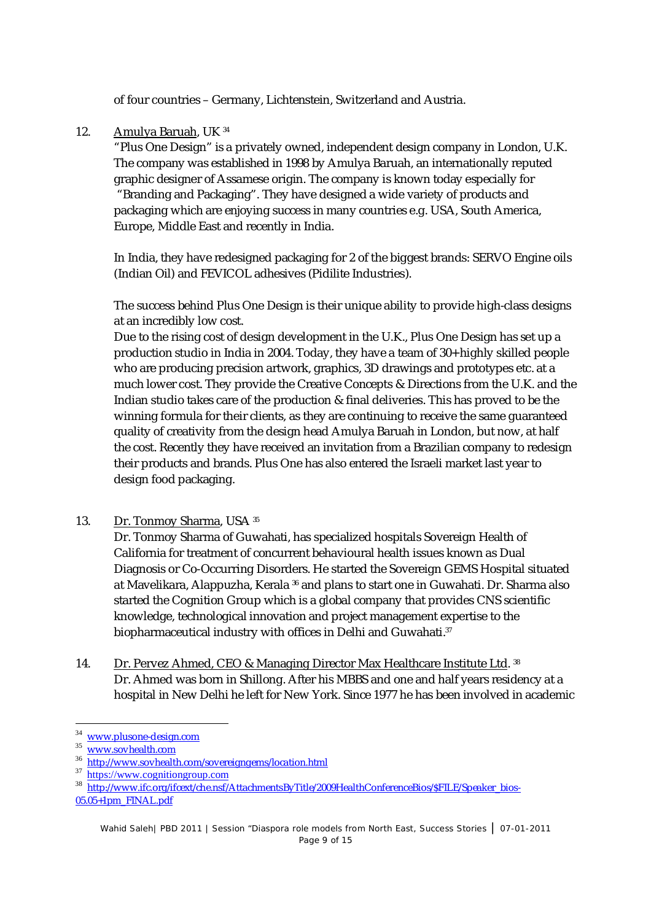of four countries – Germany, Lichtenstein, Switzerland and Austria.

## 12. Amulya Baruah, UK <sup>34</sup>

"Plus One Design" is a privately owned, independent design company in London, U.K. The company was established in 1998 by Amulya Baruah, an internationally reputed graphic designer of Assamese origin. The company is known today especially for "Branding and Packaging". They have designed a wide variety of products and packaging which are enjoying success in many countries e.g. USA, South America, Europe, Middle East and recently in India.

In India, they have redesigned packaging for 2 of the biggest brands: SERVO Engine oils (Indian Oil) and FEVICOL adhesives (Pidilite Industries).

The success behind Plus One Design is their unique ability to provide high-class designs at an incredibly low cost.

Due to the rising cost of design development in the U.K., Plus One Design has set up a production studio in India in 2004. Today, they have a team of 30+ highly skilled people who are producing precision artwork, graphics, 3D drawings and prototypes etc. at a much lower cost. They provide the Creative Concepts & Directions from the U.K. and the Indian studio takes care of the production & final deliveries. This has proved to be the winning formula for their clients, as they are continuing to receive the same guaranteed quality of creativity from the design head Amulya Baruah in London, but now, at half the cost. Recently they have received an invitation from a Brazilian company to redesign their products and brands. Plus One has also entered the Israeli market last year to design food packaging.

13. Dr. Tonmoy Sharma, USA 35

Dr. Tonmoy Sharma of Guwahati, has specialized hospitals Sovereign Health of California for treatment of concurrent behavioural health issues known as Dual Diagnosis or Co-Occurring Disorders. He started the Sovereign GEMS Hospital situated at Mavelikara, Alappuzha, Kerala <sup>36</sup> and plans to start one in Guwahati. Dr. Sharma also started the Cognition Group which is a global company that provides CNS scientific knowledge, technological innovation and project management expertise to the biopharmaceutical industry with offices in Delhi and Guwahati.<sup>37</sup>

14. <u>Dr. Pervez Ahmed, CEO & Managing Director Max Healthcare Institute Ltd</u>. 38 Dr. Ahmed was born in Shillong. After his MBBS and one and half years residency at a hospital in New Delhi he left for New York. Since 1977 he has been involved in academic

<u>.</u>

<sup>&</sup>lt;sup>34</sup> www.plusone-design.com

<sup>35</sup> www.sovhealth.com

<sup>&</sup>lt;sup>36</sup> http://www.sovhealth.com/sovereigngems/location.html

<sup>&</sup>lt;sup>37</sup> https://www.cognitiongroup.com

<sup>38</sup> http://www.ifc.org/ifcext/che.nsf/AttachmentsByTitle/2009HealthConferenceBios/\$FILE/Speaker\_bios-05.05+1pm\_FINAL.pdf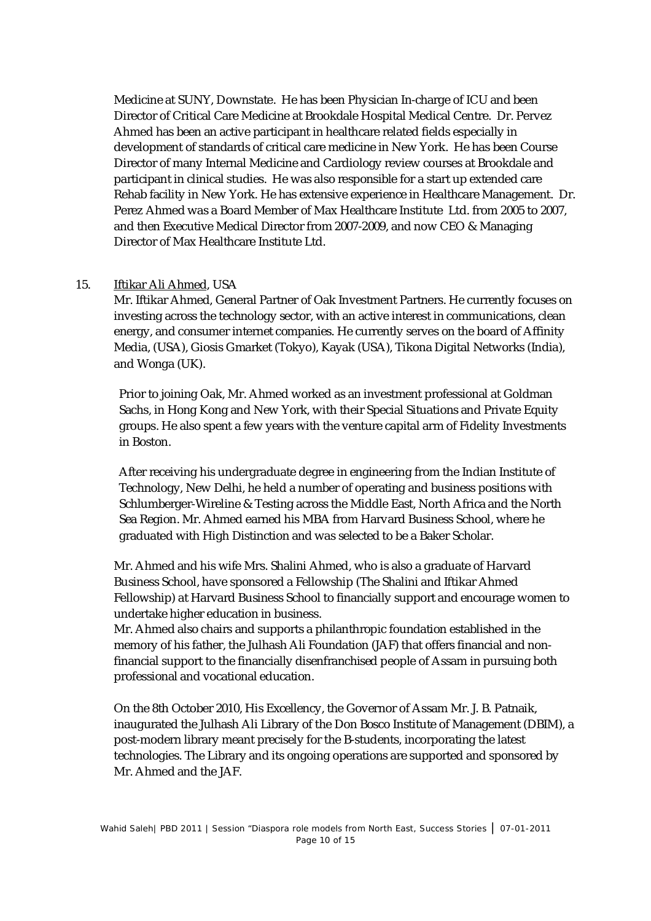Medicine at SUNY, Downstate. He has been Physician In-charge of ICU and been Director of Critical Care Medicine at Brookdale Hospital Medical Centre. Dr. Pervez Ahmed has been an active participant in healthcare related fields especially in development of standards of critical care medicine in New York. He has been Course Director of many Internal Medicine and Cardiology review courses at Brookdale and participant in clinical studies. He was also responsible for a start up extended care Rehab facility in New York. He has extensive experience in Healthcare Management. Dr. Perez Ahmed was a Board Member of Max Healthcare Institute Ltd. from 2005 to 2007, and then Executive Medical Director from 2007-2009, and now CEO & Managing Director of Max Healthcare Institute Ltd.

#### 15. Iftikar Ali Ahmed, USA

Mr. Iftikar Ahmed, General Partner of Oak Investment Partners. He currently focuses on investing across the technology sector, with an active interest in communications, clean energy, and consumer internet companies. He currently serves on the board of Affinity Media, (USA), Giosis Gmarket (Tokyo), Kayak (USA), Tikona Digital Networks (India), and Wonga (UK).

Prior to joining Oak, Mr. Ahmed worked as an investment professional at Goldman Sachs, in Hong Kong and New York, with their Special Situations and Private Equity groups. He also spent a few years with the venture capital arm of Fidelity Investments in Boston.

After receiving his undergraduate degree in engineering from the Indian Institute of Technology, New Delhi, he held a number of operating and business positions with Schlumberger-Wireline & Testing across the Middle East, North Africa and the North Sea Region. Mr. Ahmed earned his MBA from Harvard Business School, where he graduated with High Distinction and was selected to be a Baker Scholar.

Mr. Ahmed and his wife Mrs. Shalini Ahmed, who is also a graduate of Harvard Business School, have sponsored a Fellowship (The Shalini and Iftikar Ahmed Fellowship) at Harvard Business School to financially support and encourage women to undertake higher education in business.

Mr. Ahmed also chairs and supports a philanthropic foundation established in the memory of his father, the Julhash Ali Foundation (JAF) that offers financial and nonfinancial support to the financially disenfranchised people of Assam in pursuing both professional and vocational education.

On the 8th October 2010, His Excellency, the Governor of Assam Mr. J. B. Patnaik, inaugurated the Julhash Ali Library of the Don Bosco Institute of Management (DBIM), a post-modern library meant precisely for the B-students, incorporating the latest technologies. The Library and its ongoing operations are supported and sponsored by Mr. Ahmed and the JAF.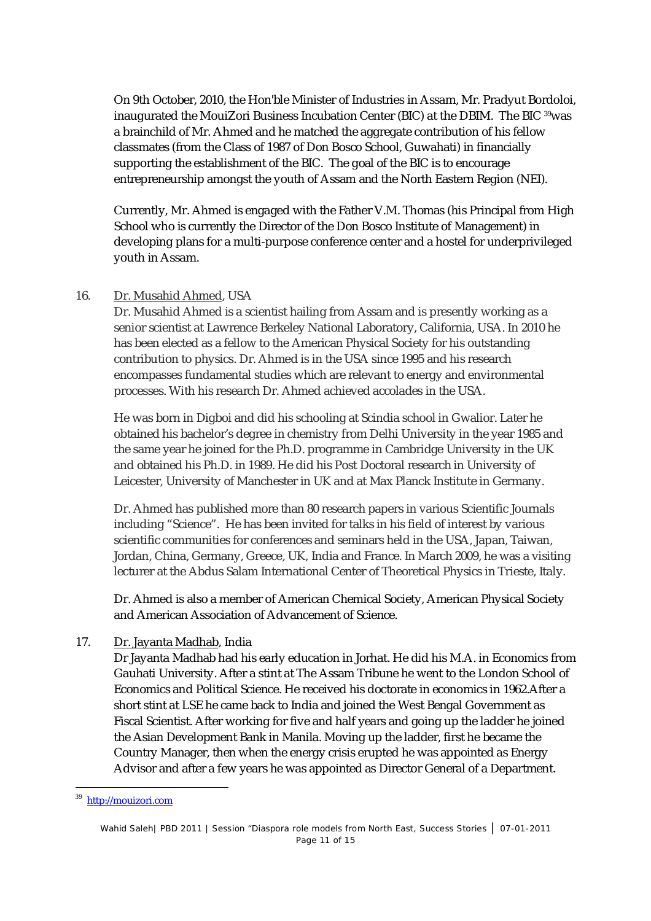On 9th October, 2010, the Hon'ble Minister of Industries in Assam, Mr. Pradyut Bordoloi, inaugurated the MouiZori Business Incubation Center (BIC) at the DBIM. The BIC <sup>39</sup>was a brainchild of Mr. Ahmed and he matched the aggregate contribution of his fellow classmates (from the Class of 1987 of Don Bosco School, Guwahati) in financially supporting the establishment of the BIC. The goal of the BIC is to encourage entrepreneurship amongst the youth of Assam and the North Eastern Region (NEI).

Currently, Mr. Ahmed is engaged with the Father V.M. Thomas (his Principal from High School who is currently the Director of the Don Bosco Institute of Management) in developing plans for a multi-purpose conference center and a hostel for underprivileged youth in Assam.

#### 16. Dr. Musahid Ahmed, USA

Dr. Musahid Ahmed is a scientist hailing from Assam and is presently working as a senior scientist at Lawrence Berkeley National Laboratory, California, USA. In 2010 he has been elected as a fellow to the American Physical Society for his outstanding contribution to physics. Dr. Ahmed is in the USA since 1995 and his research encompasses fundamental studies which are relevant to energy and environmental processes. With his research Dr. Ahmed achieved accolades in the USA.

He was born in Digboi and did his schooling at Scindia school in Gwalior. Later he obtained his bachelor's degree in chemistry from Delhi University in the year 1985 and the same year he joined for the Ph.D. programme in Cambridge University in the UK and obtained his Ph.D. in 1989. He did his Post Doctoral research in University of Leicester, University of Manchester in UK and at Max Planck Institute in Germany.

Dr. Ahmed has published more than 80 research papers in various Scientific Journals including "Science". He has been invited for talks in his field of interest by various scientific communities for conferences and seminars held in the USA, Japan, Taiwan, Jordan, China, Germany, Greece, UK, India and France. In March 2009, he was a visiting lecturer at the Abdus Salam International Center of Theoretical Physics in Trieste, Italy.

Dr. Ahmed is also a member of American Chemical Society, American Physical Society and American Association of Advancement of Science.

## 17. Dr. Jayanta Madhab, India

Dr Jayanta Madhab had his early education in Jorhat. He did his M.A. in Economics from Gauhati University. After a stint at The Assam Tribune he went to the London School of Economics and Political Science. He received his doctorate in economics in 1962.After a short stint at LSE he came back to India and joined the West Bengal Government as Fiscal Scientist. After working for five and half years and going up the ladder he joined the Asian Development Bank in Manila. Moving up the ladder, first he became the Country Manager, then when the energy crisis erupted he was appointed as Energy Advisor and after a few years he was appointed as Director General of a Department.

<sup>-</sup><sup>39</sup> http://mouizori.com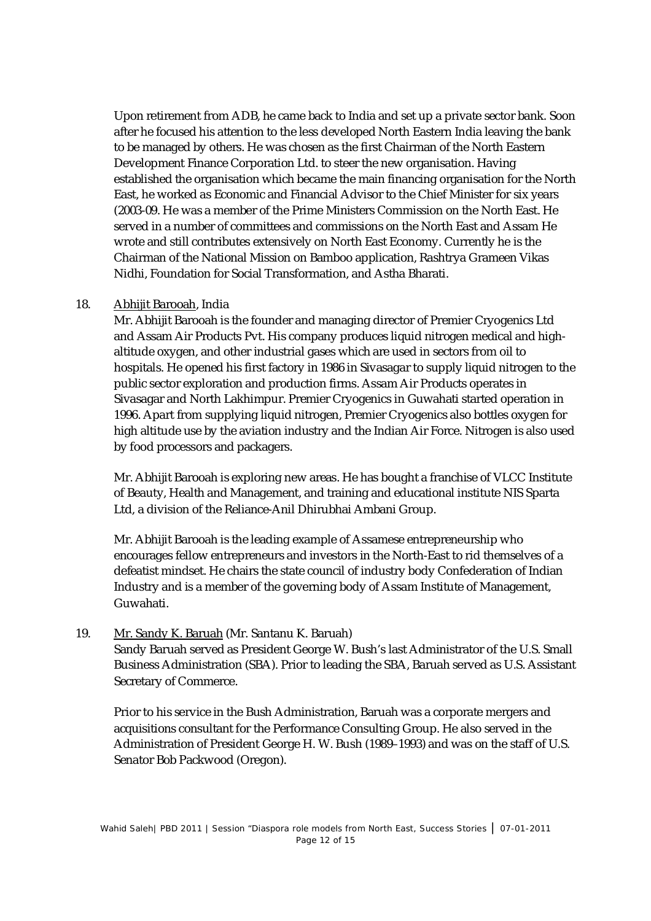Upon retirement from ADB, he came back to India and set up a private sector bank. Soon after he focused his attention to the less developed North Eastern India leaving the bank to be managed by others. He was chosen as the first Chairman of the North Eastern Development Finance Corporation Ltd. to steer the new organisation. Having established the organisation which became the main financing organisation for the North East, he worked as Economic and Financial Advisor to the Chief Minister for six years (2003-09. He was a member of the Prime Ministers Commission on the North East. He served in a number of committees and commissions on the North East and Assam He wrote and still contributes extensively on North East Economy. Currently he is the Chairman of the National Mission on Bamboo application, Rashtrya Grameen Vikas Nidhi, Foundation for Social Transformation, and Astha Bharati.

#### 18. Abhijit Barooah, India

Mr. Abhijit Barooah is the founder and managing director of Premier Cryogenics Ltd and Assam Air Products Pvt. His company produces liquid nitrogen medical and highaltitude oxygen, and other industrial gases which are used in sectors from oil to hospitals. He opened his first factory in 1986 in Sivasagar to supply liquid nitrogen to the public sector exploration and production firms. Assam Air Products operates in Sivasagar and North Lakhimpur. Premier Cryogenics in Guwahati started operation in 1996. Apart from supplying liquid nitrogen, Premier Cryogenics also bottles oxygen for high altitude use by the aviation industry and the Indian Air Force. Nitrogen is also used by food processors and packagers.

Mr. Abhijit Barooah is exploring new areas. He has bought a franchise of VLCC Institute of Beauty, Health and Management, and training and educational institute NIS Sparta Ltd, a division of the Reliance-Anil Dhirubhai Ambani Group.

Mr. Abhijit Barooah is the leading example of Assamese entrepreneurship who encourages fellow entrepreneurs and investors in the North-East to rid themselves of a defeatist mindset. He chairs the state council of industry body Confederation of Indian Industry and is a member of the governing body of Assam Institute of Management, Guwahati.

#### 19. Mr. Sandy K. Baruah (Mr. Santanu K. Baruah)

Sandy Baruah served as President George W. Bush's last Administrator of the U.S. Small Business Administration (SBA). Prior to leading the SBA, Baruah served as U.S. Assistant Secretary of Commerce.

Prior to his service in the Bush Administration, Baruah was a corporate mergers and acquisitions consultant for the Performance Consulting Group. He also served in the Administration of President George H. W. Bush (1989–1993) and was on the staff of U.S. Senator Bob Packwood (Oregon).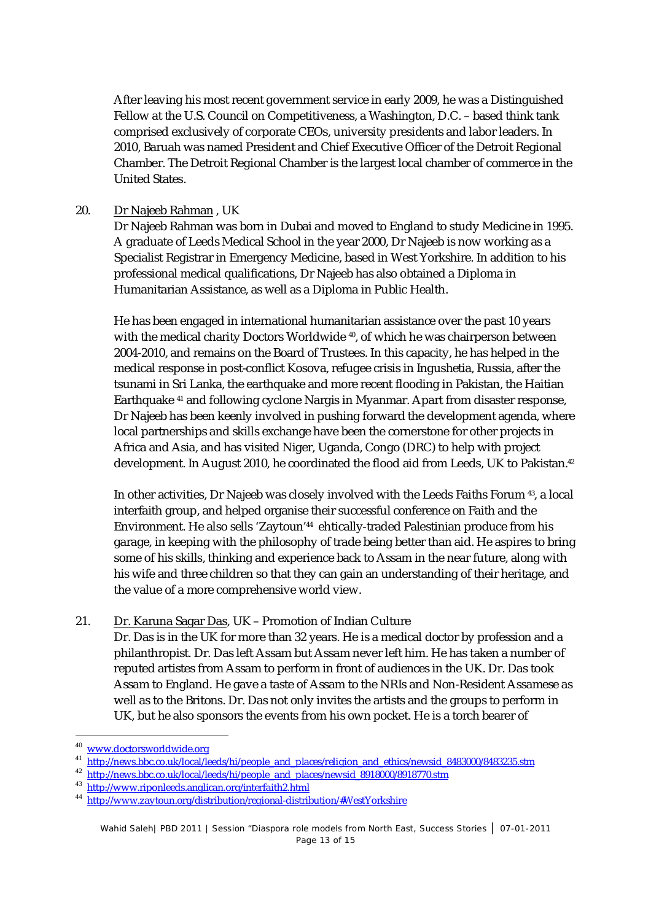After leaving his most recent government service in early 2009, he was a Distinguished Fellow at the U.S. Council on Competitiveness, a Washington, D.C. – based think tank comprised exclusively of corporate CEOs, university presidents and labor leaders. In 2010, Baruah was named President and Chief Executive Officer of the Detroit Regional Chamber. The Detroit Regional Chamber is the largest local chamber of commerce in the United States.

#### 20. Dr Najeeb Rahman , UK

Dr Najeeb Rahman was born in Dubai and moved to England to study Medicine in 1995. A graduate of Leeds Medical School in the year 2000, Dr Najeeb is now working as a Specialist Registrar in Emergency Medicine, based in West Yorkshire. In addition to his professional medical qualifications, Dr Najeeb has also obtained a Diploma in Humanitarian Assistance, as well as a Diploma in Public Health.

He has been engaged in international humanitarian assistance over the past 10 years with the medical charity Doctors Worldwide <sup>40</sup>, of which he was chairperson between 2004-2010, and remains on the Board of Trustees. In this capacity, he has helped in the medical response in post-conflict Kosova, refugee crisis in Ingushetia, Russia, after the tsunami in Sri Lanka, the earthquake and more recent flooding in Pakistan, the Haitian Earthquake <sup>41</sup> and following cyclone Nargis in Myanmar. Apart from disaster response, Dr Najeeb has been keenly involved in pushing forward the development agenda, where local partnerships and skills exchange have been the cornerstone for other projects in Africa and Asia, and has visited Niger, Uganda, Congo (DRC) to help with project development. In August 2010, he coordinated the flood aid from Leeds, UK to Pakistan. 42

In other activities, Dr Najeeb was closely involved with the Leeds Faiths Forum <sup>43</sup>, a local interfaith group, and helped organise their successful conference on Faith and the Environment. He also sells 'Zaytoun'<sup>44</sup> ehtically-traded Palestinian produce from his garage, in keeping with the philosophy of trade being better than aid. He aspires to bring some of his skills, thinking and experience back to Assam in the near future, along with his wife and three children so that they can gain an understanding of their heritage, and the value of a more comprehensive world view.

#### 21. Dr. Karuna Sagar Das, UK – Promotion of Indian Culture

Dr. Das is in the UK for more than 32 years. He is a medical doctor by profession and a philanthropist. Dr. Das left Assam but Assam never left him. He has taken a number of reputed artistes from Assam to perform in front of audiences in the UK. Dr. Das took Assam to England. He gave a taste of Assam to the NRIs and Non-Resident Assamese as well as to the Britons. Dr. Das not only invites the artists and the groups to perform in UK, but he also sponsors the events from his own pocket. He is a torch bearer of

um<br><sup>40</sup> www.doctorsworldwide.org

<sup>41</sup> http://news.bbc.co.uk/local/leeds/hi/people\_and\_places/religion\_and\_ethics/newsid\_8483000/8483235.stm

<sup>&</sup>lt;sup>42</sup> http://news.bbc.co.uk/local/leeds/hi/people\_and\_places/newsid\_8918000/8918770.stm

<sup>43</sup> http://www.riponleeds.anglican.org/interfaith2.html

<sup>&</sup>lt;sup>44</sup> http://www.zaytoun.org/distribution/regional-distribution/#WestYorkshire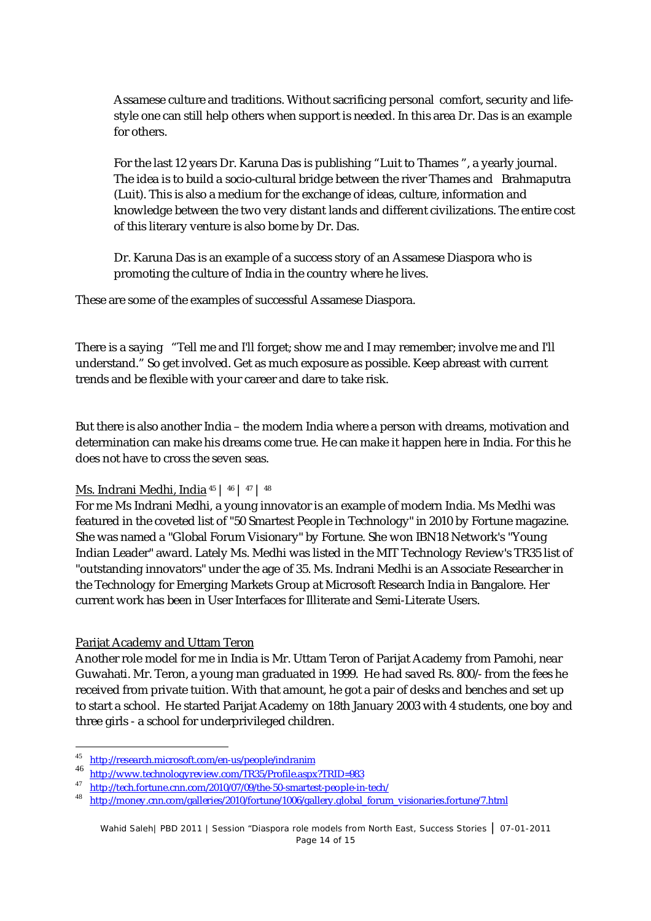Assamese culture and traditions. Without sacrificing personal comfort, security and lifestyle one can still help others when support is needed. In this area Dr. Das is an example for others.

For the last 12 years Dr. Karuna Das is publishing "Luit to Thames ", a yearly journal. The idea is to build a socio-cultural bridge between the river Thames and Brahmaputra (Luit). This is also a medium for the exchange of ideas, culture, information and knowledge between the two very distant lands and different civilizations. The entire cost of this literary venture is also borne by Dr. Das.

Dr. Karuna Das is an example of a success story of an Assamese Diaspora who is promoting the culture of India in the country where he lives.

These are some of the examples of successful Assamese Diaspora.

There is a saying "Tell me and I'll forget; show me and I may remember; involve me and I'll understand." So get involved. Get as much exposure as possible. Keep abreast with current trends and be flexible with your career and dare to take risk.

But there is also another India – the modern India where a person with dreams, motivation and determination can make his dreams come true. He can make it happen here in India. For this he does not have to cross the seven seas.

## Ms. Indrani Medhi, India <sup>45</sup> | <sup>46</sup> | <sup>47</sup> | <sup>48</sup>

For me Ms Indrani Medhi, a young innovator is an example of modern India. Ms Medhi was featured in the coveted list of "50 Smartest People in Technology" in 2010 by Fortune magazine. She was named a "Global Forum Visionary" by Fortune. She won IBN18 Network's "Young Indian Leader" award. Lately Ms. Medhi was listed in the MIT Technology Review's TR35 list of "outstanding innovators" under the age of 35. Ms. Indrani Medhi is an Associate Researcher in the Technology for Emerging Markets Group at Microsoft Research India in Bangalore. Her current work has been in User Interfaces for Illiterate and Semi-Literate Users.

## Parijat Academy and Uttam Teron

Another role model for me in India is Mr. Uttam Teron of Parijat Academy from Pamohi, near Guwahati. Mr. Teron, a young man graduated in 1999. He had saved Rs. 800/- from the fees he received from private tuition. With that amount, he got a pair of desks and benches and set up to start a school. He started Parijat Academy on 18th January 2003 with 4 students, one boy and three girls - a school for underprivileged children.

 45 http://research.microsoft.com/en-us/people/indranim

<sup>46</sup> http://www.technologyreview.com/TR35/Profile.aspx?TRID=983

<sup>47</sup> http://tech.fortune.cnn.com/2010/07/09/the-50-smartest-people-in-tech/

<sup>&</sup>lt;sup>48</sup> http://money.cnn.com/galleries/2010/fortune/1006/gallery.global\_forum\_visionaries.fortune/7.html